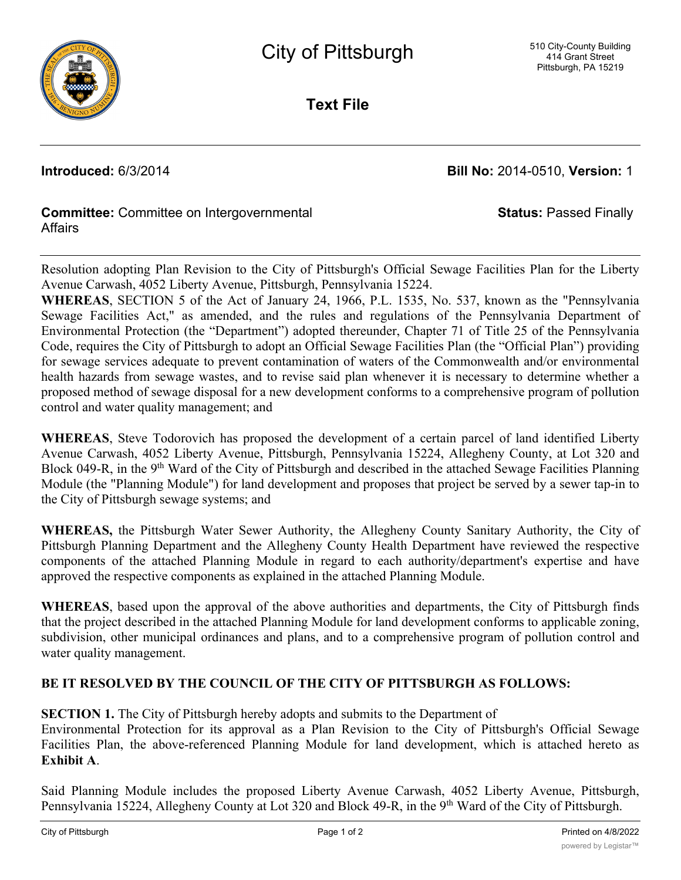

**Text File**

**Introduced:** 6/3/2014 **Bill No:** 2014-0510, **Version:** 1

**Status:** Passed Finally

## **Committee:** Committee on Intergovernmental Affairs

Resolution adopting Plan Revision to the City of Pittsburgh's Official Sewage Facilities Plan for the Liberty Avenue Carwash, 4052 Liberty Avenue, Pittsburgh, Pennsylvania 15224.

**WHEREAS**, SECTION 5 of the Act of January 24, 1966, P.L. 1535, No. 537, known as the "Pennsylvania Sewage Facilities Act," as amended, and the rules and regulations of the Pennsylvania Department of Environmental Protection (the "Department") adopted thereunder, Chapter 71 of Title 25 of the Pennsylvania Code, requires the City of Pittsburgh to adopt an Official Sewage Facilities Plan (the "Official Plan") providing for sewage services adequate to prevent contamination of waters of the Commonwealth and/or environmental health hazards from sewage wastes, and to revise said plan whenever it is necessary to determine whether a proposed method of sewage disposal for a new development conforms to a comprehensive program of pollution control and water quality management; and

**WHEREAS**, Steve Todorovich has proposed the development of a certain parcel of land identified Liberty Avenue Carwash, 4052 Liberty Avenue, Pittsburgh, Pennsylvania 15224, Allegheny County, at Lot 320 and Block 049-R, in the 9<sup>th</sup> Ward of the City of Pittsburgh and described in the attached Sewage Facilities Planning Module (the "Planning Module") for land development and proposes that project be served by a sewer tap-in to the City of Pittsburgh sewage systems; and

**WHEREAS,** the Pittsburgh Water Sewer Authority, the Allegheny County Sanitary Authority, the City of Pittsburgh Planning Department and the Allegheny County Health Department have reviewed the respective components of the attached Planning Module in regard to each authority/department's expertise and have approved the respective components as explained in the attached Planning Module.

**WHEREAS**, based upon the approval of the above authorities and departments, the City of Pittsburgh finds that the project described in the attached Planning Module for land development conforms to applicable zoning, subdivision, other municipal ordinances and plans, and to a comprehensive program of pollution control and water quality management.

## **BE IT RESOLVED BY THE COUNCIL OF THE CITY OF PITTSBURGH AS FOLLOWS:**

**SECTION 1.** The City of Pittsburgh hereby adopts and submits to the Department of

Environmental Protection for its approval as a Plan Revision to the City of Pittsburgh's Official Sewage Facilities Plan, the above-referenced Planning Module for land development, which is attached hereto as **Exhibit A**.

Said Planning Module includes the proposed Liberty Avenue Carwash, 4052 Liberty Avenue, Pittsburgh, Pennsylvania 15224, Allegheny County at Lot 320 and Block 49-R, in the 9<sup>th</sup> Ward of the City of Pittsburgh.